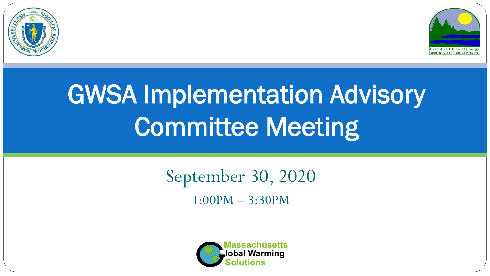



# GWSA Implementation Advisory Committee Meeting

# September 30, 2020 1:00PM – 3:30PM

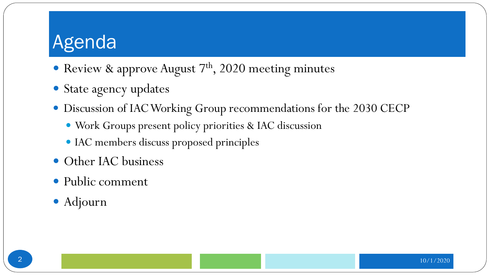- Review & approve August  $7<sup>th</sup>$ , 2020 meeting minutes
- State agency updates
- Discussion of IAC Working Group recommendations for the 2030 CECP
	- Work Groups present policy priorities & IAC discussion
	- IAC members discuss proposed principles
- Other IAC business
- Public comment
- Adjourn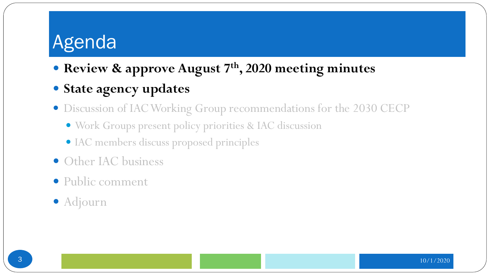- **Review & approve August 7th, 2020 meeting minutes**
- **State agency updates**
- Discussion of IAC Working Group recommendations for the 2030 CECP
	- Work Groups present policy priorities & IAC discussion
	- IAC members discuss proposed principles
- Other IAC business
- Public comment
- Adjourn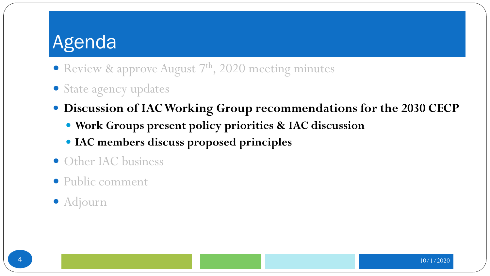- Review & approve August  $7<sup>th</sup>$ , 2020 meeting minutes
- State agency updates
- **Discussion of IAC Working Group recommendations for the 2030 CECP**
	- **Work Groups present policy priorities & IAC discussion**
	- **IAC members discuss proposed principles**
- Other IAC business
- Public comment
- Adjourn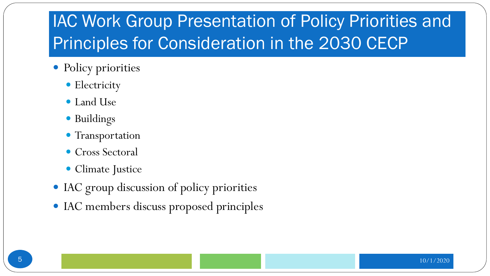# IAC Work Group Presentation of Policy Priorities and Principles for Consideration in the 2030 CECP

- Policy priorities
	- Electricity
	- Land Use
	- Buildings
	- Transportation
	- Cross Sectoral
	- Climate Justice
- IAC group discussion of policy priorities
- IAC members discuss proposed principles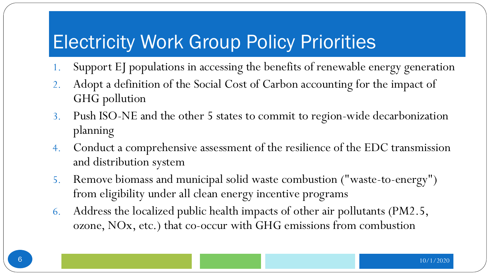# Electricity Work Group Policy Priorities

- 1. Support EJ populations in accessing the benefits of renewable energy generation
- 2. Adopt a definition of the Social Cost of Carbon accounting for the impact of GHG pollution
- 3. Push ISO-NE and the other 5 states to commit to region-wide decarbonization planning
- 4. Conduct a comprehensive assessment of the resilience of the EDC transmission and distribution system
- 5. Remove biomass and municipal solid waste combustion ("waste-to-energy") from eligibility under all clean energy incentive programs
- 6. Address the localized public health impacts of other air pollutants (PM2.5, ozone, NOx, etc.) that co-occur with GHG emissions from combustion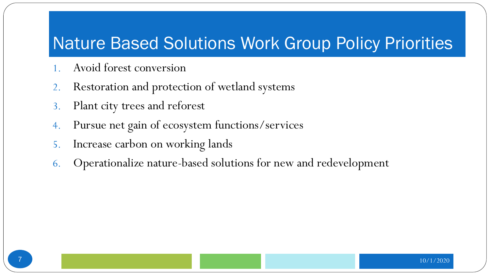#### Nature Based Solutions Work Group Policy Priorities

- 1. Avoid forest conversion
- 2. Restoration and protection of wetland systems
- 3. Plant city trees and reforest
- 4. Pursue net gain of ecosystem functions/services
- 5. Increase carbon on working lands
- 6. Operationalize nature-based solutions for new and redevelopment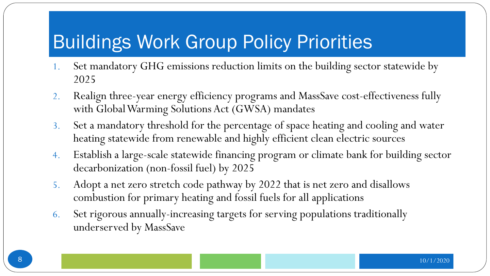### Buildings Work Group Policy Priorities

- 1. Set mandatory GHG emissions reduction limits on the building sector statewide by 2025
- 2. Realign three-year energy efficiency programs and MassSave cost-effectiveness fully with Global Warming Solutions Act (GWSA) mandates
- 3. Set a mandatory threshold for the percentage of space heating and cooling and water heating statewide from renewable and highly efficient clean electric sources
- 4. Establish a large-scale statewide financing program or climate bank for building sector decarbonization (non-fossil fuel) by 2025
- 5. Adopt a net zero stretch code pathway by 2022 that is net zero and disallows combustion for primary heating and fossil fuels for all applications
- 6. Set rigorous annually-increasing targets for serving populations traditionally underserved by MassSave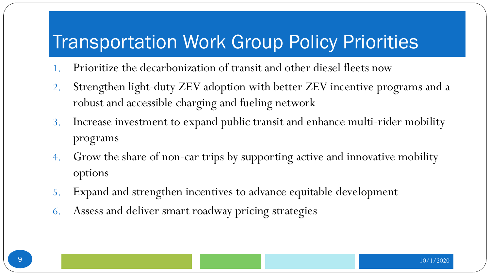#### Transportation Work Group Policy Priorities

- 1. Prioritize the decarbonization of transit and other diesel fleets now
- 2. Strengthen light-duty ZEV adoption with better ZEV incentive programs and a robust and accessible charging and fueling network
- 3. Increase investment to expand public transit and enhance multi-rider mobility programs
- 4. Grow the share of non-car trips by supporting active and innovative mobility options
- 5. Expand and strengthen incentives to advance equitable development
- 6. Assess and deliver smart roadway pricing strategies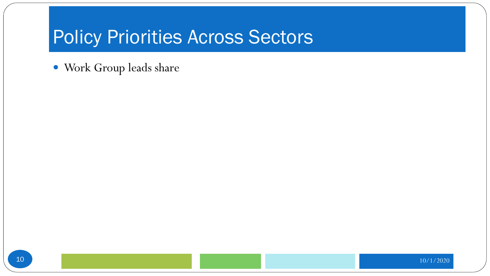#### Policy Priorities Across Sectors

Work Group leads share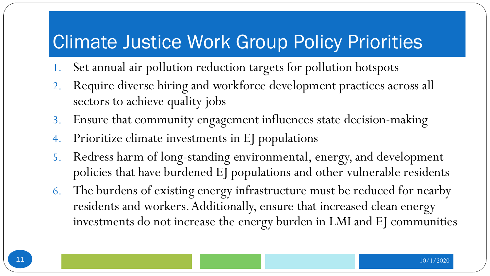#### Climate Justice Work Group Policy Priorities

- 1. Set annual air pollution reduction targets for pollution hotspots
- 2. Require diverse hiring and workforce development practices across all sectors to achieve quality jobs
- 3. Ensure that community engagement influences state decision-making
- 4. Prioritize climate investments in EJ populations
- 5. Redress harm of long-standing environmental, energy, and development policies that have burdened EJ populations and other vulnerable residents
- 6. The burdens of existing energy infrastructure must be reduced for nearby residents and workers. Additionally, ensure that increased clean energy investments do not increase the energy burden in LMI and EJ communities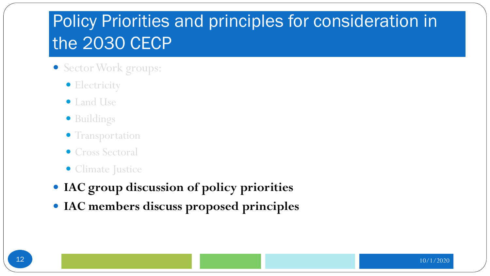#### Policy Priorities and principles for consideration in the 2030 CECP

- Sector Work groups:
	- **•** Electricity
	- Land Use
	- Buildings
	- **Transportation**
	- Cross Sectoral
	- Climate Justice
- **IAC group discussion of policy priorities**
- **IAC members discuss proposed principles**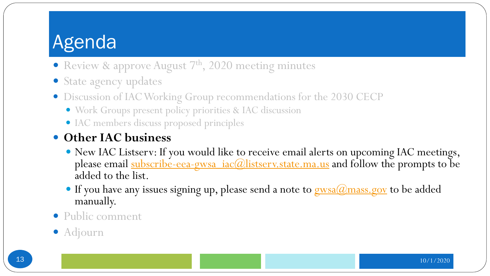- Review & approve August  $7<sup>th</sup>$ , 2020 meeting minutes
- State agency updates
- Discussion of IAC Working Group recommendations for the 2030 CECP
	- Work Groups present policy priorities & IAC discussion
	- IAC members discuss proposed principles

#### **Other IAC business**

- New IAC Listserv: If you would like to receive email alerts on upcoming IAC meetings, please email [subscribe-eea-gwsa\\_iac@listserv.state.ma.us](mailto:subscribe-eea-gwsa_iac@listserv.state.ma.us) and follow the prompts to be added to the list.
- If you have any issues signing up, please send a note to [gwsa@mass.gov](mailto:gwsa@mass.gov) to be added manually.

#### Public comment

Adjourn